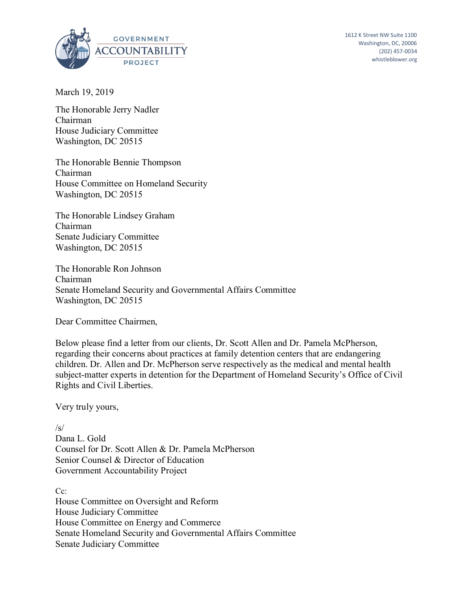

1612 K Street NW Suite 1100 Washington, DC, 20006 (202) 457-0034 whistleblower.org

March 19, 2019

The Honorable Jerry Nadler Chairman House Judiciary Committee Washington, DC 20515

The Honorable Bennie Thompson Chairman House Committee on Homeland Security Washington, DC 20515

The Honorable Lindsey Graham Chairman Senate Judiciary Committee Washington, DC 20515

The Honorable Ron Johnson Chairman Senate Homeland Security and Governmental Affairs Committee Washington, DC 20515

Dear Committee Chairmen,

Below please find a letter from our clients, Dr. Scott Allen and Dr. Pamela McPherson, regarding their concerns about practices at family detention centers that are endangering children. Dr. Allen and Dr. McPherson serve respectively as the medical and mental health subject-matter experts in detention for the Department of Homeland Security's Office of Civil Rights and Civil Liberties.

Very truly yours,

/s/

Dana L. Gold Counsel for Dr. Scott Allen & Dr. Pamela McPherson Senior Counsel & Director of Education Government Accountability Project

C<sub>c</sub>: House Committee on Oversight and Reform House Judiciary Committee House Committee on Energy and Commerce Senate Homeland Security and Governmental Affairs Committee Senate Judiciary Committee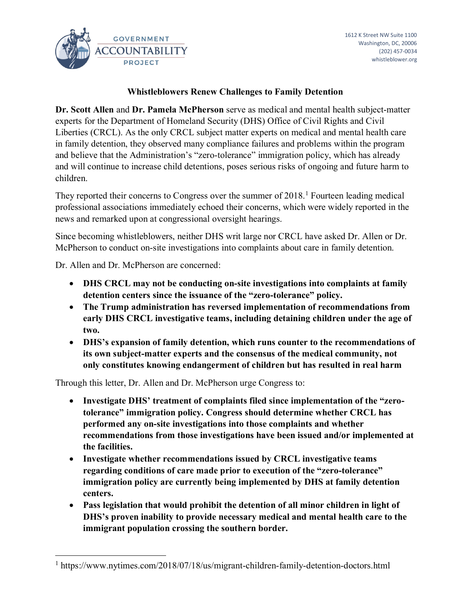

## **Whistleblowers Renew Challenges to Family Detention**

**Dr. Scott Allen** and **Dr. Pamela McPherson** serve as medical and mental health subject-matter experts for the Department of Homeland Security (DHS) Office of Civil Rights and Civil Liberties (CRCL). As the only CRCL subject matter experts on medical and mental health care in family detention, they observed many compliance failures and problems within the program and believe that the Administration's "zero-tolerance" immigration policy, which has already and will continue to increase child detentions, poses serious risks of ongoing and future harm to children.

They reported their concerns to Congress over the summer of 2018.<sup>1</sup> Fourteen leading medical professional associations immediately echoed their concerns, which were widely reported in the news and remarked upon at congressional oversight hearings.

Since becoming whistleblowers, neither DHS writ large nor CRCL have asked Dr. Allen or Dr. McPherson to conduct on-site investigations into complaints about care in family detention.

Dr. Allen and Dr. McPherson are concerned:

 $\overline{a}$ 

- **DHS CRCL may not be conducting on-site investigations into complaints at family detention centers since the issuance of the "zero-tolerance" policy.**
- **The Trump administration has reversed implementation of recommendations from early DHS CRCL investigative teams, including detaining children under the age of two.**
- **DHS's expansion of family detention, which runs counter to the recommendations of its own subject-matter experts and the consensus of the medical community, not only constitutes knowing endangerment of children but has resulted in real harm**

Through this letter, Dr. Allen and Dr. McPherson urge Congress to:

- **Investigate DHS' treatment of complaints filed since implementation of the "zerotolerance" immigration policy. Congress should determine whether CRCL has performed any on-site investigations into those complaints and whether recommendations from those investigations have been issued and/or implemented at the facilities.**
- **Investigate whether recommendations issued by CRCL investigative teams regarding conditions of care made prior to execution of the "zero-tolerance" immigration policy are currently being implemented by DHS at family detention centers.**
- **Pass legislation that would prohibit the detention of all minor children in light of DHS's proven inability to provide necessary medical and mental health care to the immigrant population crossing the southern border.**

<sup>1</sup> https://www.nytimes.com/2018/07/18/us/migrant-children-family-detention-doctors.html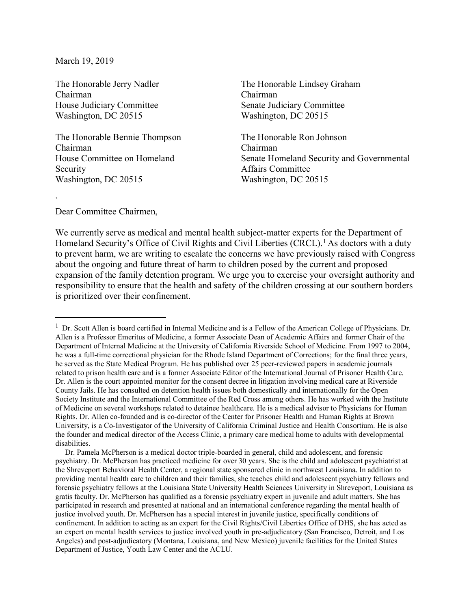March 19, 2019

The Honorable Jerry Nadler Chairman House Judiciary Committee Washington, DC 20515

The Honorable Bennie Thompson Chairman House Committee on Homeland Security Washington, DC 20515

The Honorable Lindsey Graham Chairman Senate Judiciary Committee Washington, DC 20515

The Honorable Ron Johnson Chairman Senate Homeland Security and Governmental Affairs Committee Washington, DC 20515

Dear Committee Chairmen,

`

 $\overline{a}$ 

We currently serve as medical and mental health subject-matter experts for the Department of Homeland Security's Office of Civil Rights and Civil Liberties (CRCL).<sup>1</sup> As doctors with a duty to prevent harm, we are writing to escalate the concerns we have previously raised with Congress about the ongoing and future threat of harm to children posed by the current and proposed expansion of the family detention program. We urge you to exercise your oversight authority and responsibility to ensure that the health and safety of the children crossing at our southern borders is prioritized over their confinement.

<sup>&</sup>lt;sup>1</sup> Dr. Scott Allen is board certified in Internal Medicine and is a Fellow of the American College of Physicians. Dr. Allen is a Professor Emeritus of Medicine, a former Associate Dean of Academic Affairs and former Chair of the Department of Internal Medicine at the University of California Riverside School of Medicine. From 1997 to 2004, he was a full-time correctional physician for the Rhode Island Department of Corrections; for the final three years, he served as the State Medical Program. He has published over 25 peer-reviewed papers in academic journals related to prison health care and is a former Associate Editor of the International Journal of Prisoner Health Care. Dr. Allen is the court appointed monitor for the consent decree in litigation involving medical care at Riverside County Jails. He has consulted on detention health issues both domestically and internationally for the Open Society Institute and the International Committee of the Red Cross among others. He has worked with the Institute of Medicine on several workshops related to detainee healthcare. He is a medical advisor to Physicians for Human Rights. Dr. Allen co-founded and is co-director of the Center for Prisoner Health and Human Rights at Brown University, is a Co-Investigator of the University of California Criminal Justice and Health Consortium. He is also the founder and medical director of the Access Clinic, a primary care medical home to adults with developmental disabilities.

Dr. Pamela McPherson is a medical doctor triple-boarded in general, child and adolescent, and forensic psychiatry. Dr. McPherson has practiced medicine for over 30 years. She is the child and adolescent psychiatrist at the Shreveport Behavioral Health Center, a regional state sponsored clinic in northwest Louisiana. In addition to providing mental health care to children and their families, she teaches child and adolescent psychiatry fellows and forensic psychiatry fellows at the Louisiana State University Health Sciences University in Shreveport, Louisiana as gratis faculty. Dr. McPherson has qualified as a forensic psychiatry expert in juvenile and adult matters. She has participated in research and presented at national and an international conference regarding the mental health of justice involved youth. Dr. McPherson has a special interest in juvenile justice, specifically conditions of confinement. In addition to acting as an expert for the Civil Rights/Civil Liberties Office of DHS, she has acted as an expert on mental health services to justice involved youth in pre-adjudicatory (San Francisco, Detroit, and Los Angeles) and post-adjudicatory (Montana, Louisiana, and New Mexico) juvenile facilities for the United States Department of Justice, Youth Law Center and the ACLU.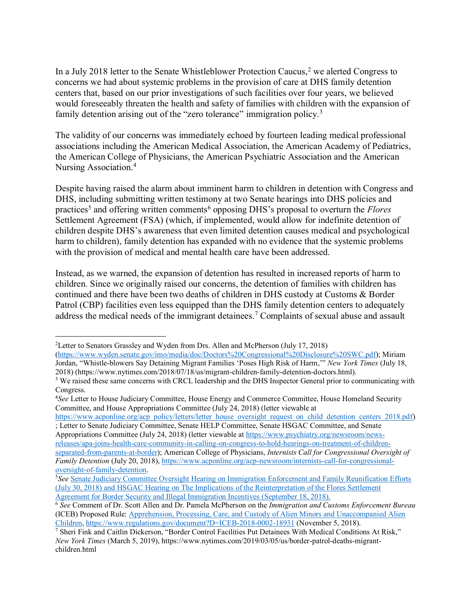In a July 2018 letter to the Senate Whistleblower Protection Caucus,  $2$  we alerted Congress to concerns we had about systemic problems in the provision of care at DHS family detention centers that, based on our prior investigations of such facilities over four years, we believed would foreseeably threaten the health and safety of families with children with the expansion of family detention arising out of the "zero tolerance" immigration policy.<sup>3</sup>

The validity of our concerns was immediately echoed by fourteen leading medical professional associations including the American Medical Association, the American Academy of Pediatrics, the American College of Physicians, the American Psychiatric Association and the American Nursing Association. 4

Despite having raised the alarm about imminent harm to children in detention with Congress and DHS, including submitting written testimony at two Senate hearings into DHS policies and practices<sup>5</sup> and offering written comments<sup>6</sup> opposing DHS's proposal to overturn the *Flores* Settlement Agreement (FSA) (which, if implemented, would allow for indefinite detention of children despite DHS's awareness that even limited detention causes medical and psychological harm to children), family detention has expanded with no evidence that the systemic problems with the provision of medical and mental health care have been addressed.

Instead, as we warned, the expansion of detention has resulted in increased reports of harm to children. Since we originally raised our concerns, the detention of families with children has continued and there have been two deaths of children in DHS custody at Customs & Border Patrol (CBP) facilities even less equipped than the DHS family detention centers to adequately address the medical needs of the immigrant detainees.<sup>7</sup> Complaints of sexual abuse and assault

 $\overline{a}$ 

<sup>2</sup> Letter to Senators Grassley and Wyden from Drs. Allen and McPherson (July 17, 2018)

[<sup>\(</sup>https://www.wyden.senate.gov/imo/media/doc/Doctors%20Congressional%20Disclosure%20SWC.pdf\)](https://www.wyden.senate.gov/imo/media/doc/Doctors%20Congressional%20Disclosure%20SWC.pdf); Miriam Jordan, "Whistle-blowers Say Detaining Migrant Families 'Poses High Risk of Harm,'" *New York Times* (July 18, 2018) (https://www.nytimes.com/2018/07/18/us/migrant-children-family-detention-doctors.html).

<sup>&</sup>lt;sup>3</sup> We raised these same concerns with CRCL leadership and the DHS Inspector General prior to communicating with Congress.

<sup>4</sup>*See* Letter to House Judiciary Committee, House Energy and Commerce Committee, House Homeland Security Committee, and House Appropriations Committee (July 24, 2018) (letter viewable at

[https://www.acponline.org/acp\\_policy/letters/letter\\_house\\_oversight\\_request\\_on\\_child\\_detention\\_centers\\_2018.pdf\)](https://www.acponline.org/acp_policy/letters/letter_house_oversight_request_on_child_detention_centers_2018.pdf) ; Letter to Senate Judiciary Committee, Senate HELP Committee, Senate HSGAC Committee, and Senate

Appropriations Committee (July 24, 2018) (letter viewable at [https://www.psychiatry.org/newsroom/news](https://www.psychiatry.org/newsroom/news-releases/apa-joins-health-care-community-in-calling-on-congress-to-hold-hearings-on-treatment-of-children-separated-from-parents-at-border)[releases/apa-joins-health-care-community-in-calling-on-congress-to-hold-hearings-on-treatment-of-children](https://www.psychiatry.org/newsroom/news-releases/apa-joins-health-care-community-in-calling-on-congress-to-hold-hearings-on-treatment-of-children-separated-from-parents-at-border)[separated-from-parents-at-border\)](https://www.psychiatry.org/newsroom/news-releases/apa-joins-health-care-community-in-calling-on-congress-to-hold-hearings-on-treatment-of-children-separated-from-parents-at-border); American College of Physicians, *Internists Call for Congressional Oversight of Family Detention* (July 20, 2018), [https://www.acponline.org/acp-newsroom/internists-call-for-congressional](https://www.acponline.org/acp-newsroom/internists-call-for-congressional-oversight-of-family-detention)[oversight-of-family-detention.](https://www.acponline.org/acp-newsroom/internists-call-for-congressional-oversight-of-family-detention)

<sup>5</sup> *See* [Senate Judiciary Committee Oversight Hearing on Immigration Enforcement and Family Reunification Efforts](https://www.judiciary.senate.gov/meetings/oversight-of-immigration-enforcement-and-family-reunification-efforts) (July 30, 2018) and [HSGAC Hearing on The Implications of the Reinterpretation of the Flores Settlement](https://www.hsgac.senate.gov/hearings/the-implications-of-the-reinterpretation-of-the-flores-settlement-agreement-for-border-security-and-illegal-immigration-incentives)  [Agreement for Border Security and Illegal Immigration Incentives](https://www.hsgac.senate.gov/hearings/the-implications-of-the-reinterpretation-of-the-flores-settlement-agreement-for-border-security-and-illegal-immigration-incentives) (September 18, 2018).

<sup>6</sup> *See* Comment of Dr. Scott Allen and Dr. Pamela McPherson on the *Immigration and Customs Enforcement Bureau* (ICEB) Proposed Rule: <u>Apprehension, Processing, Care, and Custody of Alien Minors and Unaccompanied Alien</u><br>Children, https://www.regulations.gov/document?D=ICEB-2018-0002-18931 (November 5, 2018).

<sup>&</sup>lt;sup>7</sup> Sheri Fink and Caitlin Dickerson, "Border Control Facilities Put Detainees With Medical Conditions At Risk," *New York Times* (March 5, 2019), https://www.nytimes.com/2019/03/05/us/border-patrol-deaths-migrantchildren.html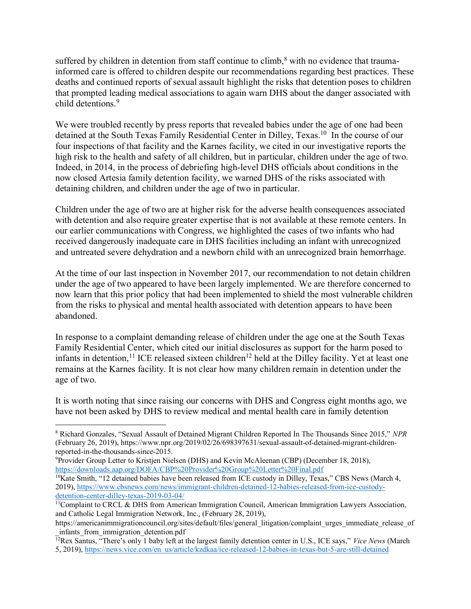suffered by children in detention from staff continue to climb,<sup>8</sup> with no evidence that traumainformed care is offered to children despite our recommendations regarding best practices. These deaths and continued reports of sexual assault highlight the risks that detention poses to children that prompted leading medical associations to again warn DHS about the danger associated with child detentions.<sup>9</sup>

We were troubled recently by press reports that revealed babies under the age of one had been detained at the South Texas Family Residential Center in Dilley, Texas.10 In the course of our four inspections of that facility and the Karnes facility, we cited in our investigative reports the high risk to the health and safety of all children, but in particular, children under the age of two. Indeed, in 2014, in the process of debriefing high-level DHS officials about conditions in the now closed Artesia family detention facility, we warned DHS of the risks associated with detaining children, and children under the age of two in particular.

Children under the age of two are at higher risk for the adverse health consequences associated with detention and also require greater expertise that is not available at these remote centers. In our earlier communications with Congress, we highlighted the cases of two infants who had received dangerously inadequate care in DHS facilities including an infant with unrecognized and untreated severe dehydration and a newborn child with an unrecognized brain hemorrhage.

At the time of our last inspection in November 2017, our recommendation to not detain children under the age of two appeared to have been largely implemented. We are therefore concerned to now learn that this prior policy that had been implemented to shield the most vulnerable children from the risks to physical and mental health associated with detention appears to have been abandoned.

In response to a complaint demanding release of children under the age one at the South Texas Family Residential Center, which cited our initial disclosures as support for the harm posed to infants in detention,<sup>11</sup> ICE released sixteen children<sup>12</sup> held at the Dilley facility. Yet at least one remains at the Karnes facility. It is not clear how many children remain in detention under the age of two.

It is worth noting that since raising our concerns with DHS and Congress eight months ago, we have not been asked by DHS to review medical and mental health care in family detention

 $\overline{a}$ 

<sup>8</sup> Richard Gonzales, "Sexual Assault of Detained Migrant Children Reported In The Thousands Since 2015," *NPR* (February 26, 2019), https://www.npr.org/2019/02/26/698397631/sexual-assault-of-detained-migrant-childrenreported-in-the-thousands-since-2015.

<sup>9</sup> Provider Group Letter to Kristjen Nielsen (DHS) and Kevin McAleenan (CBP) (December 18, 2018), <https://downloads.aap.org/DOFA/CBP%20Provider%20Group%20Letter%20Final.pdf>

<sup>&</sup>lt;sup>10</sup>Kate Smith, "12 detained babies have been released from ICE custody in Dilley, Texas," CBS News (March 4, 2019), [https://www.cbsnews.com/news/immigrant-children-detained-12-babies-released-from-ice-custody](https://www.cbsnews.com/news/immigrant-children-detained-12-babies-released-from-ice-custody-detention-center-dilley-texas-2019-03-04/)[detention-center-dilley-texas-2019-03-04/](https://www.cbsnews.com/news/immigrant-children-detained-12-babies-released-from-ice-custody-detention-center-dilley-texas-2019-03-04/)

<sup>&</sup>lt;sup>11</sup>Complaint to CRCL & DHS from American Immigration Council, American Immigration Lawyers Association, and Catholic Legal Immigration Network, Inc., (February 28, 2019),

https://americanimmigrationcouncil.org/sites/default/files/general\_litigation/complaint\_urges\_immediate\_release\_of \_infants\_from\_immigration\_detention.pdf

<sup>12</sup>Rex Santus, "There's only 1 baby left at the largest family detention center in U.S., ICE says," *Vice News* (March 5, 2019), [https://news.vice.com/en\\_us/article/kzdkaa/ice-released-12-babies-in-texas-but-5-are-still-detained](https://news.vice.com/en_us/article/kzdkaa/ice-released-12-babies-in-texas-but-5-are-still-detained)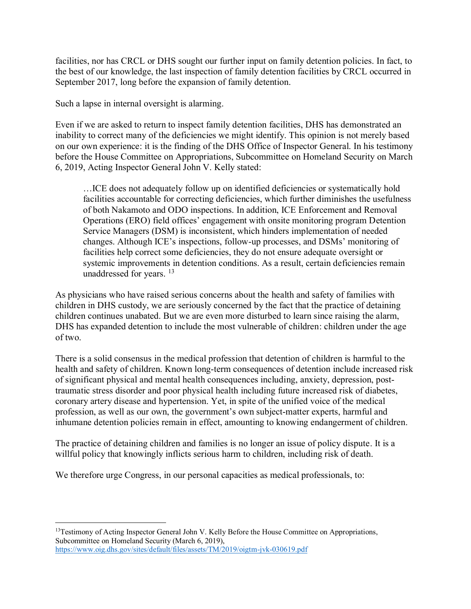facilities, nor has CRCL or DHS sought our further input on family detention policies. In fact, to the best of our knowledge, the last inspection of family detention facilities by CRCL occurred in September 2017, long before the expansion of family detention.

Such a lapse in internal oversight is alarming.

Even if we are asked to return to inspect family detention facilities, DHS has demonstrated an inability to correct many of the deficiencies we might identify. This opinion is not merely based on our own experience: it is the finding of the DHS Office of Inspector General. In his testimony before the House Committee on Appropriations, Subcommittee on Homeland Security on March 6, 2019, Acting Inspector General John V. Kelly stated:

…ICE does not adequately follow up on identified deficiencies or systematically hold facilities accountable for correcting deficiencies, which further diminishes the usefulness of both Nakamoto and ODO inspections. In addition, ICE Enforcement and Removal Operations (ERO) field offices' engagement with onsite monitoring program Detention Service Managers (DSM) is inconsistent, which hinders implementation of needed changes. Although ICE's inspections, follow-up processes, and DSMs' monitoring of facilities help correct some deficiencies, they do not ensure adequate oversight or systemic improvements in detention conditions. As a result, certain deficiencies remain unaddressed for years. <sup>13</sup>

As physicians who have raised serious concerns about the health and safety of families with children in DHS custody, we are seriously concerned by the fact that the practice of detaining children continues unabated. But we are even more disturbed to learn since raising the alarm, DHS has expanded detention to include the most vulnerable of children: children under the age of two.

There is a solid consensus in the medical profession that detention of children is harmful to the health and safety of children. Known long-term consequences of detention include increased risk of significant physical and mental health consequences including, anxiety, depression, posttraumatic stress disorder and poor physical health including future increased risk of diabetes, coronary artery disease and hypertension. Yet, in spite of the unified voice of the medical profession, as well as our own, the government's own subject-matter experts, harmful and inhumane detention policies remain in effect, amounting to knowing endangerment of children.

The practice of detaining children and families is no longer an issue of policy dispute. It is a willful policy that knowingly inflicts serious harm to children, including risk of death.

We therefore urge Congress, in our personal capacities as medical professionals, to:

 $\overline{a}$ 

<sup>&</sup>lt;sup>13</sup>Testimony of Acting Inspector General John V. Kelly Before the House Committee on Appropriations, Subcommittee on Homeland Security (March 6, 2019), <https://www.oig.dhs.gov/sites/default/files/assets/TM/2019/oigtm-jvk-030619.pdf>